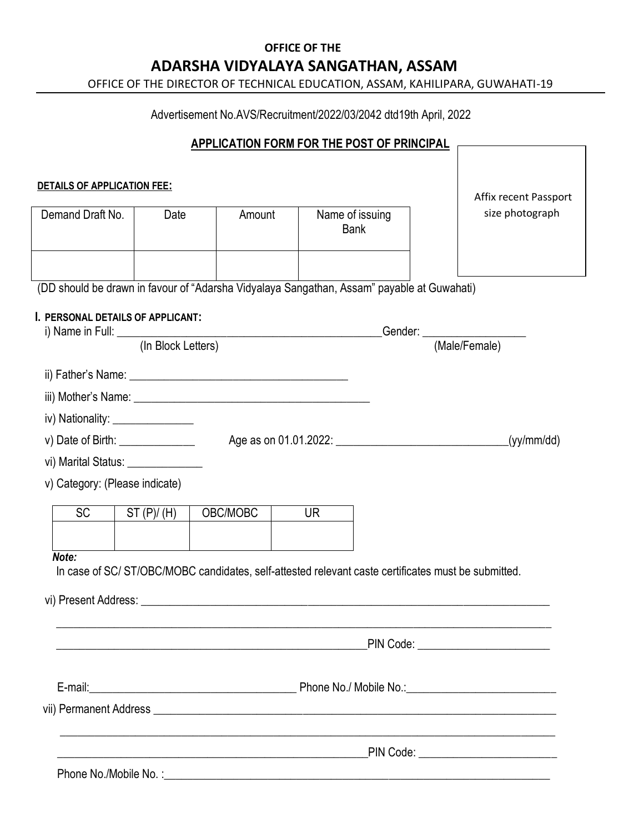## **OFFICE OF THE ADARSHA VIDYALAYA SANGATHAN, ASSAM**

OFFICE OF THE DIRECTOR OF TECHNICAL EDUCATION, ASSAM, KAHILIPARA, GUWAHATI-19

Advertisement No.AVS/Recruitment/2022/03/2042 dtd19th April, 2022

### **APPLICATION FORM FOR THE POST OF PRINCIPAL**

| DETAILS OF APPLICATION FEE:                                                                |                    |                                                                                                    |     |                                | Affix recent Passport                 |
|--------------------------------------------------------------------------------------------|--------------------|----------------------------------------------------------------------------------------------------|-----|--------------------------------|---------------------------------------|
| Demand Draft No.                                                                           | Date               | Amount                                                                                             |     | Name of issuing<br><b>Bank</b> | size photograph                       |
|                                                                                            |                    |                                                                                                    |     |                                |                                       |
| (DD should be drawn in favour of "Adarsha Vidyalaya Sangathan, Assam" payable at Guwahati) |                    |                                                                                                    |     |                                |                                       |
| I. PERSONAL DETAILS OF APPLICANT:                                                          |                    |                                                                                                    |     |                                |                                       |
|                                                                                            | (In Block Letters) |                                                                                                    |     |                                |                                       |
|                                                                                            |                    |                                                                                                    |     |                                |                                       |
|                                                                                            |                    |                                                                                                    |     |                                |                                       |
| iv) Nationality: ________________                                                          |                    |                                                                                                    |     |                                |                                       |
| v) Date of Birth: $\frac{1}{2}$                                                            |                    |                                                                                                    |     |                                | (yy/mm/dd)                            |
| vi) Marital Status: _______________                                                        |                    |                                                                                                    |     |                                |                                       |
| v) Category: (Please indicate)                                                             |                    |                                                                                                    |     |                                |                                       |
| <b>SC</b>                                                                                  | ST(P)/(H)          | OBC/MOBC                                                                                           | UR. |                                |                                       |
|                                                                                            |                    |                                                                                                    |     |                                |                                       |
| Note:                                                                                      |                    |                                                                                                    |     |                                |                                       |
|                                                                                            |                    | In case of SC/ST/OBC/MOBC candidates, self-attested relevant caste certificates must be submitted. |     |                                |                                       |
|                                                                                            |                    |                                                                                                    |     |                                |                                       |
|                                                                                            |                    |                                                                                                    |     |                                |                                       |
|                                                                                            |                    |                                                                                                    |     |                                | PIN Code: _________________________   |
|                                                                                            |                    |                                                                                                    |     |                                |                                       |
|                                                                                            |                    |                                                                                                    |     |                                |                                       |
|                                                                                            |                    |                                                                                                    |     |                                |                                       |
|                                                                                            |                    |                                                                                                    |     |                                |                                       |
|                                                                                            |                    | <u> 2000 - Jan James James Barnett, mensk politik (d. 1982)</u>                                    |     |                                | PIN Code: ___________________________ |
|                                                                                            |                    |                                                                                                    |     |                                |                                       |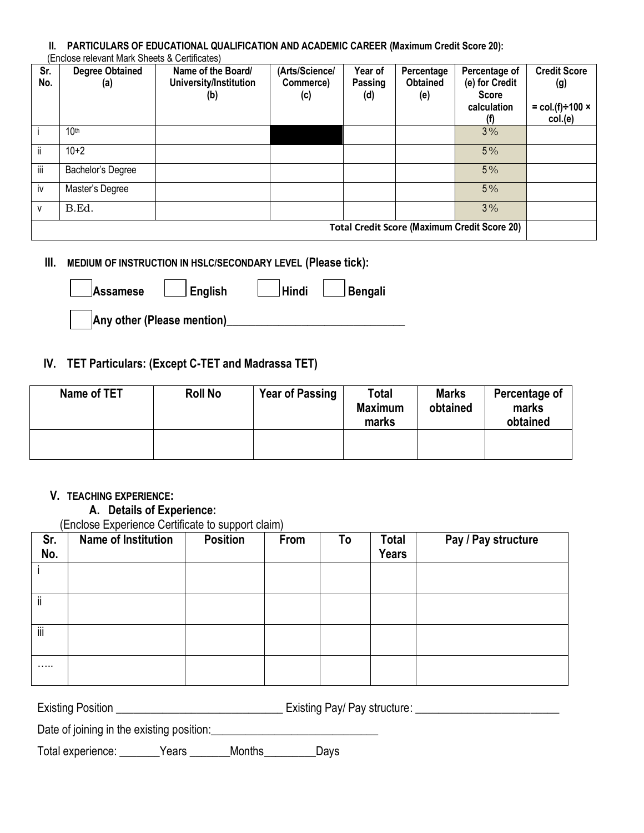#### **II. PARTICULARS OF EDUCATIONAL QUALIFICATION AND ACADEMIC CAREER (Maximum Credit Score 20):**  (Enclose relevant Mark Sheets & Certificates)

| Sr.<br>No.                                          | <b>Degree Obtained</b><br>(a) | Name of the Board/<br>University/Institution<br>(b) | (Arts/Science/<br>Commerce)<br>(c) | Year of<br>Passing<br>(d) | Percentage<br><b>Obtained</b><br>(e) | Percentage of<br>(e) for Credit<br><b>Score</b><br>calculation<br>(f) | <b>Credit Score</b><br>(g)<br>$=$ col.(f) $\div$ 100 $\times$<br>col.(e) |
|-----------------------------------------------------|-------------------------------|-----------------------------------------------------|------------------------------------|---------------------------|--------------------------------------|-----------------------------------------------------------------------|--------------------------------------------------------------------------|
|                                                     | 10 <sup>th</sup>              |                                                     |                                    |                           |                                      | 3%                                                                    |                                                                          |
| ii.                                                 | $10+2$                        |                                                     |                                    |                           |                                      | $5\%$                                                                 |                                                                          |
| iij                                                 | Bachelor's Degree             |                                                     |                                    |                           |                                      | 5%                                                                    |                                                                          |
| iv                                                  | Master's Degree               |                                                     |                                    |                           |                                      | $5\%$                                                                 |                                                                          |
| v                                                   | B.Ed.                         |                                                     |                                    |                           |                                      | 3%                                                                    |                                                                          |
| <b>Total Credit Score (Maximum Credit Score 20)</b> |                               |                                                     |                                    |                           |                                      |                                                                       |                                                                          |

### **III. MEDIUM OF INSTRUCTION IN HSLC/SECONDARY LEVEL (Please tick):**

| Assamese                   | $\Box$ English | $\vert$ Hindi | <b>∆Bengali</b> |
|----------------------------|----------------|---------------|-----------------|
| Any other (Please mention) |                |               |                 |

### **IV. TET Particulars: (Except C-TET and Madrassa TET)**

| Name of TET | <b>Roll No</b> | <b>Year of Passing</b> | Total<br><b>Maximum</b><br>marks | <b>Marks</b><br>obtained | Percentage of<br>marks<br>obtained |
|-------------|----------------|------------------------|----------------------------------|--------------------------|------------------------------------|
|             |                |                        |                                  |                          |                                    |

#### **V. TEACHING EXPERIENCE:**

### **A. Details of Experience:**

(Enclose Experience Certificate to support claim)

| Sr.<br>No. | Name of Institution | <b>Position</b> | From | To | <b>Total</b><br><b>Years</b> | Pay / Pay structure |
|------------|---------------------|-----------------|------|----|------------------------------|---------------------|
|            |                     |                 |      |    |                              |                     |
| ii         |                     |                 |      |    |                              |                     |
| ΪÏ         |                     |                 |      |    |                              |                     |
| .          |                     |                 |      |    |                              |                     |

Existing Position \_\_\_\_\_\_\_\_\_\_\_\_\_\_\_\_\_\_\_\_\_\_\_\_\_\_\_\_\_ Existing Pay/ Pay structure: \_\_\_\_\_\_\_\_\_\_\_\_\_\_\_\_\_\_\_\_\_\_\_\_\_

Date of joining in the existing position:\_\_\_\_\_\_\_\_\_\_\_\_\_\_\_\_\_\_\_\_\_\_\_\_\_\_\_\_\_

Total experience: \_\_\_\_\_\_\_Years \_\_\_\_\_\_\_Months\_\_\_\_\_\_\_\_\_Days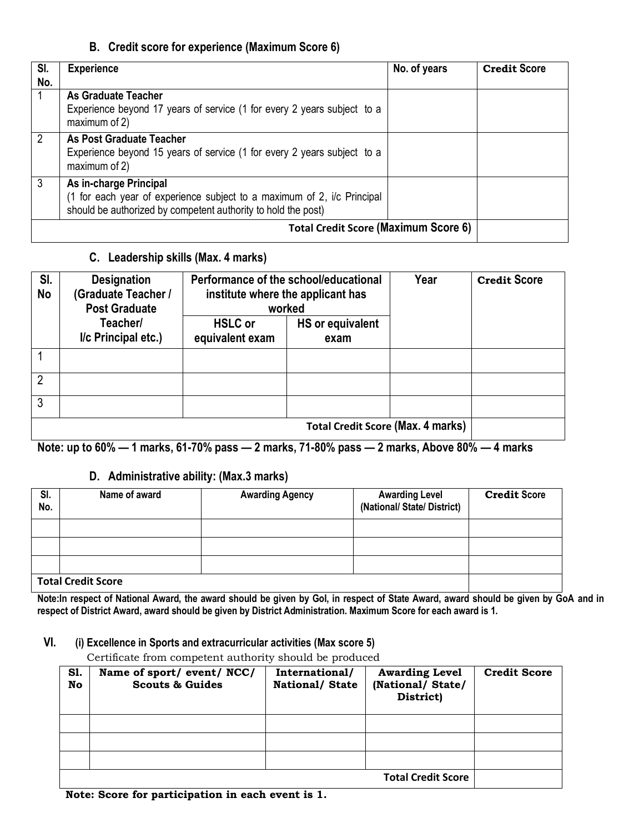### **B. Credit score for experience (Maximum Score 6)**

| SI.<br>No. | <b>Experience</b>                                                                                                                                                  | No. of years | <b>Credit Score</b> |
|------------|--------------------------------------------------------------------------------------------------------------------------------------------------------------------|--------------|---------------------|
|            | <b>As Graduate Teacher</b><br>Experience beyond 17 years of service (1 for every 2 years subject to a<br>maximum of 2)                                             |              |                     |
| 2          | <b>As Post Graduate Teacher</b><br>Experience beyond 15 years of service (1 for every 2 years subject to a<br>maximum of 2)                                        |              |                     |
| 3          | As in-charge Principal<br>(1 for each year of experience subject to a maximum of 2, i/c Principal<br>should be authorized by competent authority to hold the post) |              |                     |
|            |                                                                                                                                                                    |              |                     |

### **C. Leadership skills (Max. 4 marks)**

| SI.<br><b>No</b> | <b>Designation</b><br>(Graduate Teacher /<br><b>Post Graduate</b> | Performance of the school/educational<br>institute where the applicant has<br>worked |                  | Year | <b>Credit Score</b> |
|------------------|-------------------------------------------------------------------|--------------------------------------------------------------------------------------|------------------|------|---------------------|
|                  | Teacher/                                                          | <b>HSLC</b> or                                                                       | HS or equivalent |      |                     |
|                  | I/c Principal etc.)                                               | equivalent exam                                                                      | exam             |      |                     |
|                  |                                                                   |                                                                                      |                  |      |                     |
| 2                |                                                                   |                                                                                      |                  |      |                     |
| 3                |                                                                   |                                                                                      |                  |      |                     |
|                  | <b>Total Credit Score (Max. 4 marks)</b>                          |                                                                                      |                  |      |                     |

**Note: up to 60% — 1 marks, 61-70% pass — 2 marks, 71-80% pass — 2 marks, Above 80% — 4 marks**

### **D. Administrative ability: (Max.3 marks)**

| SI.<br>No.                | Name of award | <b>Awarding Agency</b> | <b>Awarding Level</b><br>(National/State/District) | <b>Credit Score</b> |
|---------------------------|---------------|------------------------|----------------------------------------------------|---------------------|
|                           |               |                        |                                                    |                     |
|                           |               |                        |                                                    |                     |
|                           |               |                        |                                                    |                     |
| <b>Total Credit Score</b> |               |                        |                                                    |                     |

**Note:In respect of National Award, the award should be given by GoI, in respect of State Award, award should be given by GoA and in respect of District Award, award should be given by District Administration. Maximum Score for each award is 1.** 

#### **VI. (i) Excellence in Sports and extracurricular activities (Max score 5)**

Certificate from competent authority should be produced

| <b>S1.</b><br>No | Name of sport/ event/ NCC/<br><b>Scouts &amp; Guides</b> | International/<br><b>National/ State</b> | <b>Awarding Level</b><br>(National/State/<br>District) | <b>Credit Score</b> |
|------------------|----------------------------------------------------------|------------------------------------------|--------------------------------------------------------|---------------------|
|                  |                                                          |                                          |                                                        |                     |
|                  |                                                          |                                          |                                                        |                     |
|                  |                                                          |                                          |                                                        |                     |
|                  |                                                          |                                          | <b>Total Credit Score</b>                              |                     |

 **Note: Score for participation in each event is 1.**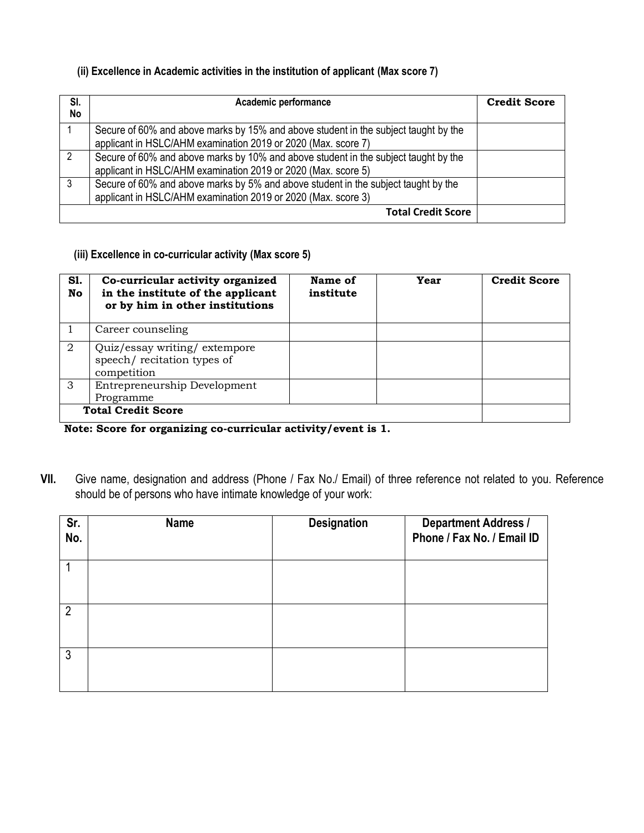### **(ii) Excellence in Academic activities in the institution of applicant (Max score 7)**

| SI.<br>No | Academic performance                                                                                                                                 | <b>Credit Score</b> |
|-----------|------------------------------------------------------------------------------------------------------------------------------------------------------|---------------------|
|           | Secure of 60% and above marks by 15% and above student in the subject taught by the<br>applicant in HSLC/AHM examination 2019 or 2020 (Max. score 7) |                     |
| 2         | Secure of 60% and above marks by 10% and above student in the subject taught by the<br>applicant in HSLC/AHM examination 2019 or 2020 (Max. score 5) |                     |
| -3        | Secure of 60% and above marks by 5% and above student in the subject taught by the<br>applicant in HSLC/AHM examination 2019 or 2020 (Max. score 3)  |                     |
|           | <b>Total Credit Score</b>                                                                                                                            |                     |

 **(iii) Excellence in co-curricular activity (Max score 5)**

| S1.<br>No | Co-curricular activity organized<br>in the institute of the applicant<br>or by him in other institutions | Name of<br>institute | Year | <b>Credit Score</b> |  |
|-----------|----------------------------------------------------------------------------------------------------------|----------------------|------|---------------------|--|
|           | Career counseling                                                                                        |                      |      |                     |  |
| 2         | Quiz/essay writing/extempore<br>speech/recitation types of<br>competition                                |                      |      |                     |  |
| 3         | Entrepreneurship Development<br>Programme                                                                |                      |      |                     |  |
|           | <b>Total Credit Score</b>                                                                                |                      |      |                     |  |

**Note: Score for organizing co-curricular activity/event is 1.**

**VII.** Give name, designation and address (Phone / Fax No./ Email) of three reference not related to you. Reference should be of persons who have intimate knowledge of your work:

| Sr.<br>No.     | <b>Name</b> | <b>Designation</b> | <b>Department Address /</b><br>Phone / Fax No. / Email ID |
|----------------|-------------|--------------------|-----------------------------------------------------------|
|                |             |                    |                                                           |
| $\overline{2}$ |             |                    |                                                           |
| $\mathbf{3}$   |             |                    |                                                           |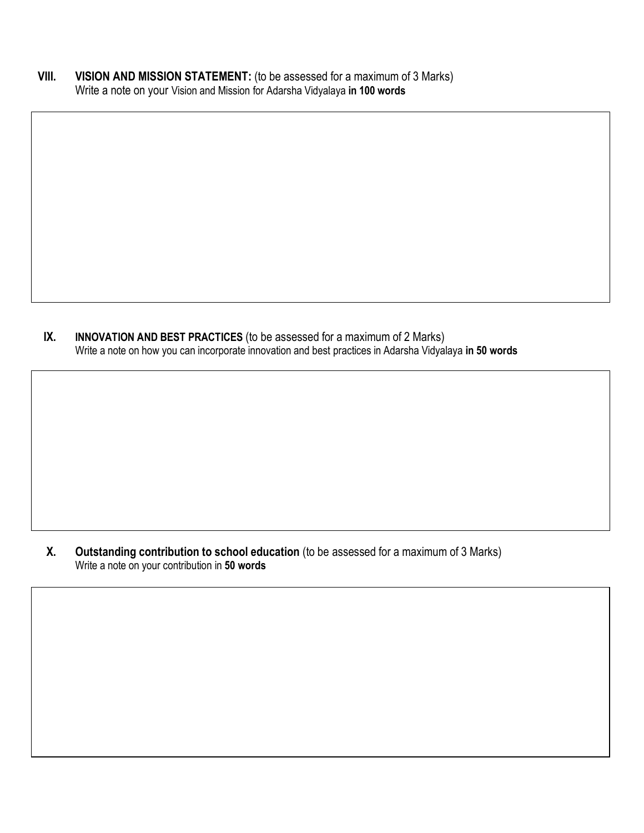**VIII. VISION AND MISSION STATEMENT:** (to be assessed for a maximum of 3 Marks) Write a note on your Vision and Mission for Adarsha Vidyalaya **in 100 words**

**IX. INNOVATION AND BEST PRACTICES** (to be assessed for a maximum of 2 Marks) Write a note on how you can incorporate innovation and best practices in Adarsha Vidyalaya **in 50 words**

**X. Outstanding contribution to school education** (to be assessed for a maximum of 3 Marks) Write a note on your contribution in **50 words**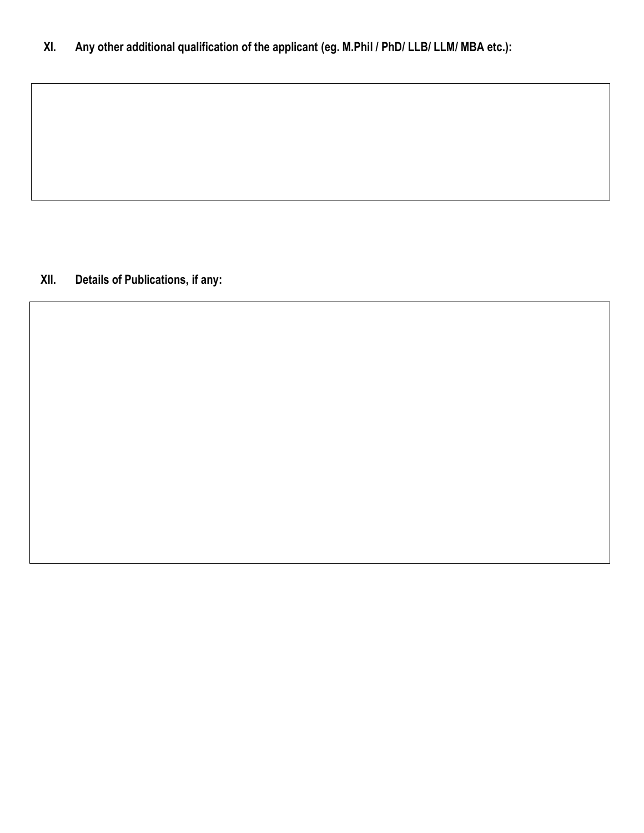**XII. Details of Publications, if any:**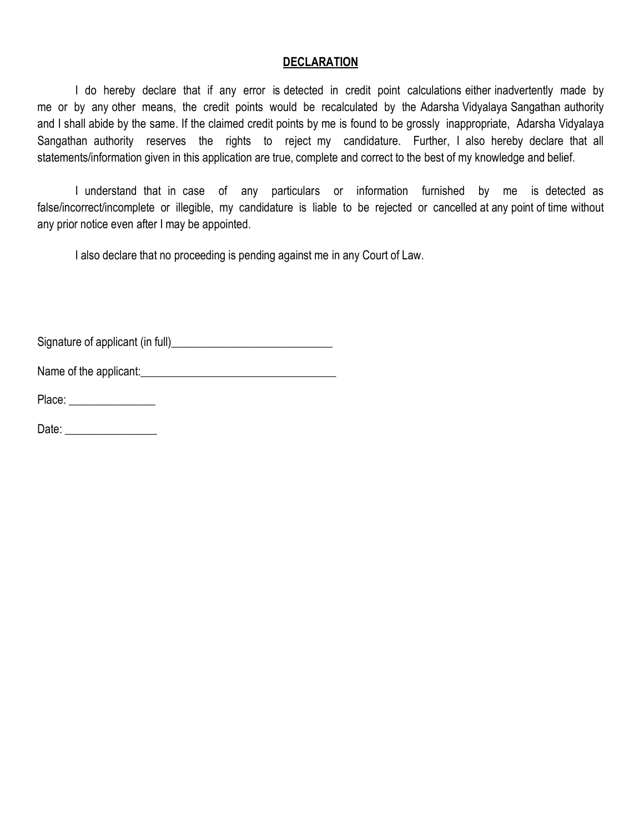### **DECLARATION**

I do hereby declare that if any error is detected in credit point calculations either inadvertently made by me or by any other means, the credit points would be recalculated by the Adarsha Vidyalaya Sangathan authority and I shall abide by the same. If the claimed credit points by me is found to be grossly inappropriate, Adarsha Vidyalaya Sangathan authority reserves the rights to reject my candidature. Further, I also hereby declare that all statements/information given in this application are true, complete and correct to the best of my knowledge and belief.

I understand that in case of any particulars or information furnished by me is detected as false/incorrect/incomplete or illegible, my candidature is liable to be rejected or cancelled at any point of time without any prior notice even after I may be appointed.

I also declare that no proceeding is pending against me in any Court of Law.

Signature of applicant (in full)\_\_\_\_\_\_\_\_\_\_\_\_\_\_\_\_\_\_\_\_\_\_\_\_\_\_\_\_

Name of the applicant:

Place: \_\_\_\_\_\_\_\_\_\_\_\_\_\_\_

Date:  $\Box$